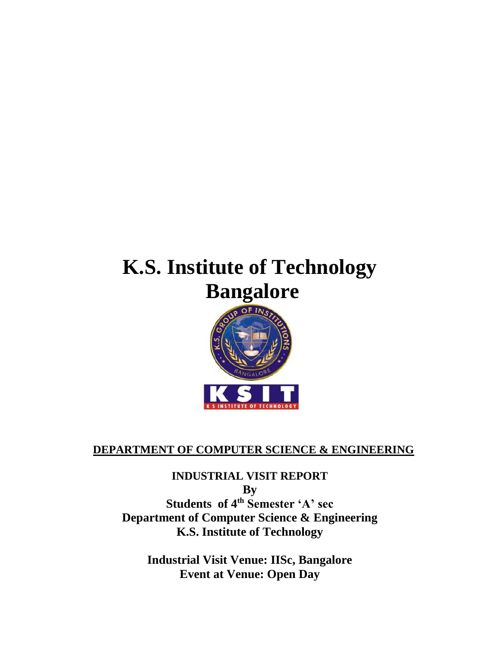# **K.S. Institute of Technology Bangalore**



## **DEPARTMENT OF COMPUTER SCIENCE & ENGINEERING**

**INDUSTRIAL VISIT REPORT By Students of 4th Semester 'A' sec Department of Computer Science & Engineering K.S. Institute of Technology**

**Industrial Visit Venue: IISc, Bangalore Event at Venue: Open Day**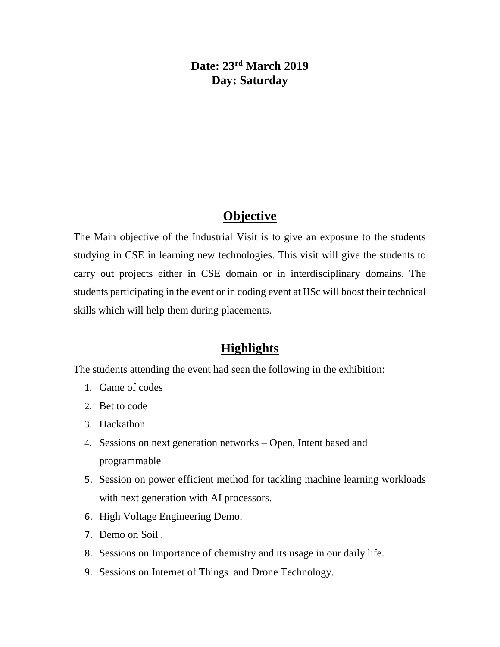#### **Date: 23rd March 2019 Day: Saturday**

#### **Objective**

The Main objective of the Industrial Visit is to give an exposure to the students studying in CSE in learning new technologies. This visit will give the students to carry out projects either in CSE domain or in interdisciplinary domains. The students participating in the event or in coding event at IISc will boost their technical skills which will help them during placements.

#### **Highlights**

The students attending the event had seen the following in the exhibition:

- 1. Game of codes
- 2. Bet to code
- 3. Hackathon
- 4. Sessions on next generation networks Open, Intent based and programmable
- 5. Session on power efficient method for tackling machine learning workloads with next generation with AI processors.
- 6. High Voltage Engineering Demo.
- 7. Demo on Soil .
- 8. Sessions on Importance of chemistry and its usage in our daily life.
- 9. Sessions on Internet of Things and Drone Technology.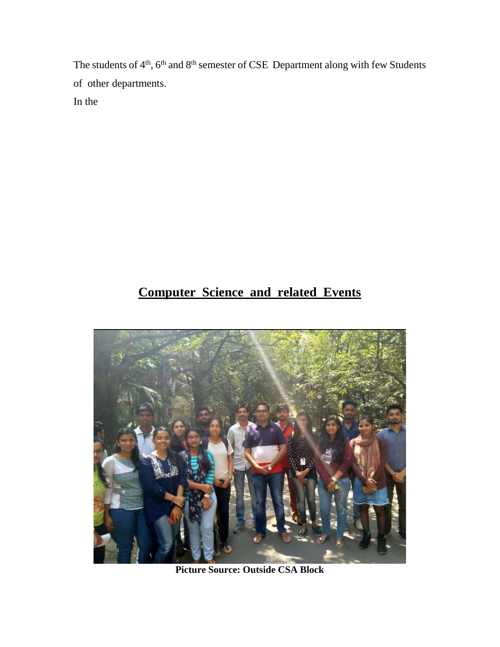The students of 4<sup>th</sup>, 6<sup>th</sup> and 8<sup>th</sup> semester of CSE Department along with few Students of other departments. In the

# **Computer Science and related Events**



**Picture Source: Outside CSA Block**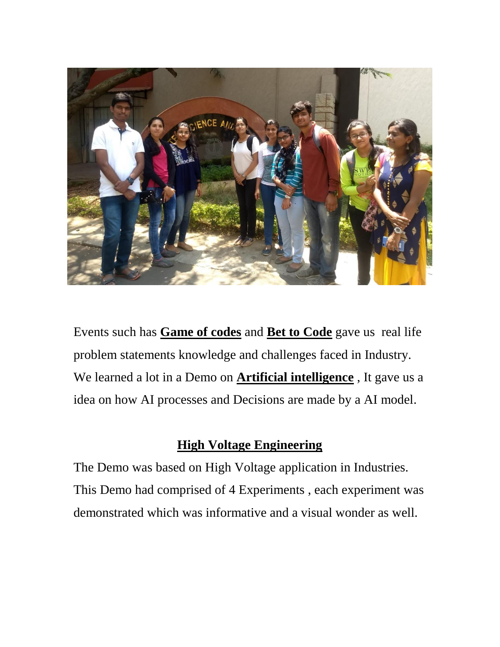

Events such has **Game of codes** and **Bet to Code** gave us real life problem statements knowledge and challenges faced in Industry. We learned a lot in a Demo on **Artificial intelligence** , It gave us a idea on how AI processes and Decisions are made by a AI model.

### **High Voltage Engineering**

The Demo was based on High Voltage application in Industries. This Demo had comprised of 4 Experiments , each experiment was demonstrated which was informative and a visual wonder as well.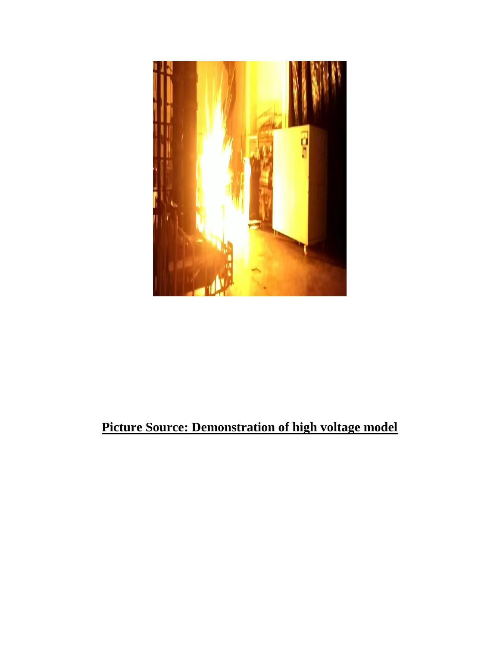

# **Picture Source: Demonstration of high voltage model**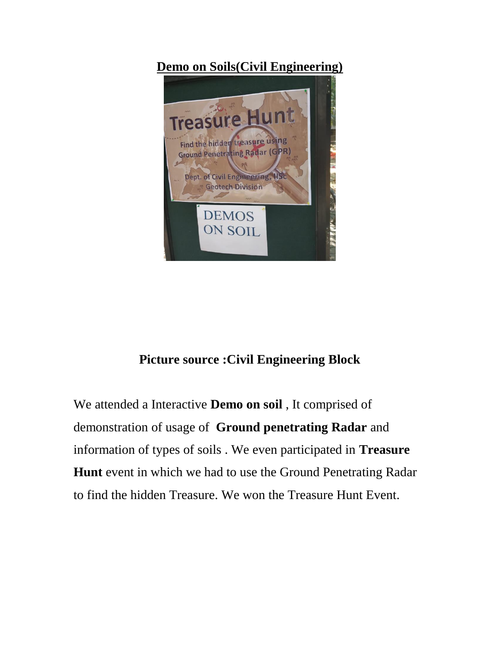## **Demo on Soils(Civil Engineering)**



### **Picture source :Civil Engineering Block**

We attended a Interactive **Demo on soil** , It comprised of demonstration of usage of **Ground penetrating Radar** and information of types of soils . We even participated in **Treasure Hunt** event in which we had to use the Ground Penetrating Radar to find the hidden Treasure. We won the Treasure Hunt Event.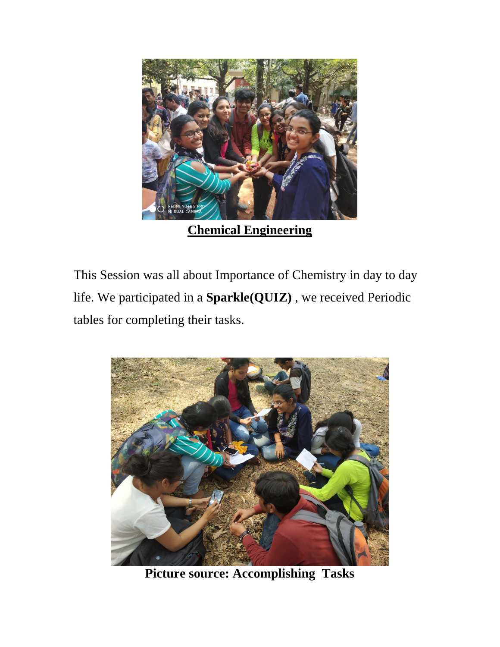

This Session was all about Importance of Chemistry in day to day life. We participated in a **Sparkle(QUIZ)** , we received Periodic tables for completing their tasks.



**Picture source: Accomplishing Tasks**